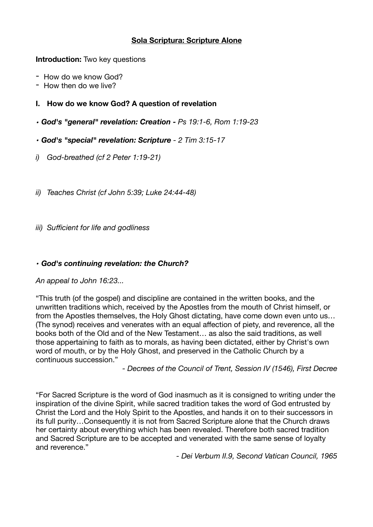# **Sola Scriptura: Scripture Alone**

**Introduction:** Two key questions

- How do we know God?
- How then do we live?
- **I. How do we know God? A question of revelation**
- *• God's "general" revelation: Creation Ps 19:1-6, Rom 1:19-23*
- *• God's "special" revelation: Scripture 2 Tim 3:15-17*
- *i) God-breathed (cf 2 Peter 1:19-21)*

*ii) Teaches Christ (cf John 5:39; Luke 24:44-48)* 

*iii) Sufficient for life and godliness* 

# *• God's continuing revelation: the Church?*

### *An appeal to John 16:23...*

"This truth (of the gospel) and discipline are contained in the written books, and the unwritten traditions which, received by the Apostles from the mouth of Christ himself, or from the Apostles themselves, the Holy Ghost dictating, have come down even unto us… (The synod) receives and venerates with an equal affection of piety, and reverence, all the books both of the Old and of the New Testament… as also the said traditions, as well those appertaining to faith as to morals, as having been dictated, either by Christ's own word of mouth, or by the Holy Ghost, and preserved in the Catholic Church by a continuous succession."

*- Decrees of the Council of Trent, Session IV (1546), First Decree* 

"For Sacred Scripture is the word of God inasmuch as it is consigned to writing under the inspiration of the divine Spirit, while sacred tradition takes the word of God entrusted by Christ the Lord and the Holy Spirit to the Apostles, and hands it on to their successors in its full purity…Consequently it is not from Sacred Scripture alone that the Church draws her certainty about everything which has been revealed. Therefore both sacred tradition and Sacred Scripture are to be accepted and venerated with the same sense of loyalty and reverence."

*- Dei Verbum II.9, Second Vatican Council, 1965*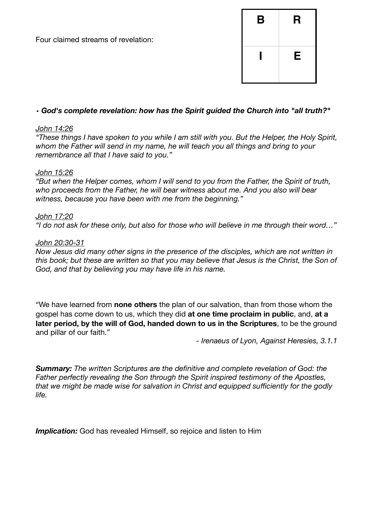Four claimed streams of revelation: 



# *• God's complete revelation: how has the Spirit guided the Church into "all truth?"*

### *John 14:26*

*"These things I have spoken to you while I am still with you. But the Helper, the Holy Spirit, whom the Father will send in my name, he will teach you all things and bring to your remembrance all that I have said to you."* 

#### *John 15:26*

*"But when the Helper comes, whom I will send to you from the Father, the Spirit of truth, who proceeds from the Father, he will bear witness about me. And you also will bear witness, because you have been with me from the beginning."* 

#### *John 17:20*

*"I do not ask for these only, but also for those who will believe in me through their word…"* 

#### *John 20:30-31*

*Now Jesus did many other signs in the presence of the disciples, which are not written in this book; but these are written so that you may believe that Jesus is the Christ, the Son of God, and that by believing you may have life in his name.*

"We have learned from **none others** the plan of our salvation, than from those whom the gospel has come down to us, which they did **at one time proclaim in public**, and, **at a later period, by the will of God, handed down to us in the Scriptures**, to be the ground and pillar of our faith."

*- Irenaeus of Lyon, Against Heresies, 3.1.1* 

*Summary: The written Scriptures are the definitive and complete revelation of God: the Father perfectly revealing the Son through the Spirit inspired testimony of the Apostles, that we might be made wise for salvation in Christ and equipped sufficiently for the godly life.* 

**Implication:** God has revealed Himself, so rejoice and listen to Him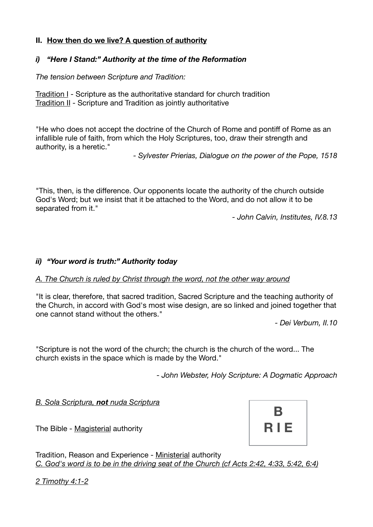# **II. How then do we live? A question of authority**

# *i) "Here I Stand:" Authority at the time of the Reformation*

*The tension between Scripture and Tradition:* 

Tradition I - Scripture as the authoritative standard for church tradition Tradition II - Scripture and Tradition as jointly authoritative

"He who does not accept the doctrine of the Church of Rome and pontiff of Rome as an infallible rule of faith, from which the Holy Scriptures, too, draw their strength and authority, is a heretic."

*- Sylvester Prierias, Dialogue on the power of the Pope, 1518* 

"This, then, is the difference. Our opponents locate the authority of the church outside God's Word; but we insist that it be attached to the Word, and do not allow it to be separated from it."

*- John Calvin, Institutes, IV.8.13* 

# *ii) "Your word is truth:" Authority today*

### *A. The Church is ruled by Christ through the word, not the other way around*

"It is clear, therefore, that sacred tradition, Sacred Scripture and the teaching authority of the Church, in accord with God's most wise design, are so linked and joined together that one cannot stand without the others."

*- Dei Verbum, II.10* 

"Scripture is not the word of the church; the church is the church of the word... The church exists in the space which is made by the Word."

*- John Webster, Holy Scripture: A Dogmatic Approach* 

*B. Sola Scriptura, not nuda Scriptura* 

The Bible - Magisterial authority



Tradition, Reason and Experience - Ministerial authority *C. God's word is to be in the driving seat of the Church (cf Acts 2:42, 4:33, 5:42, 6:4)* 

*2 Timothy 4:1-2*